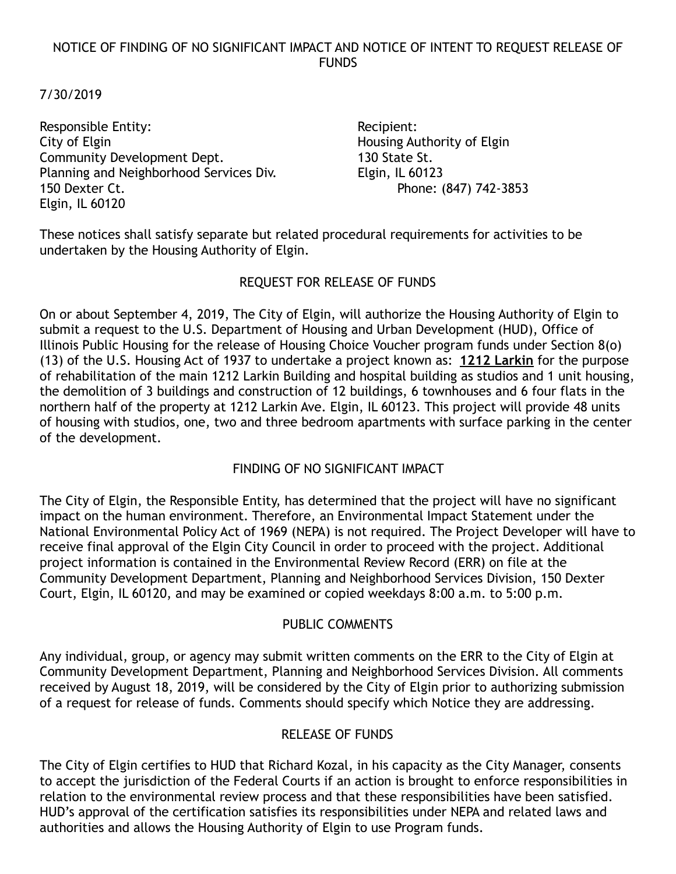## NOTICE OF FINDING OF NO SIGNIFICANT IMPACT AND NOTICE OF INTENT TO REQUEST RELEASE OF FUNDS

## 7/30/2019

Responsible Entity:  $\blacksquare$ City of Elgin **Elgin City of Elgin** Housing Authority of Elgin Community Development Dept. 130 State St. Planning and Neighborhood Services Div. Elgin, IL 60123 150 Dexter Ct. Phone: (847) 742-3853 Elgin, IL 60120

These notices shall satisfy separate but related procedural requirements for activities to be undertaken by the Housing Authority of Elgin.

## REQUEST FOR RELEASE OF FUNDS

On or about September 4, 2019, The City of Elgin, will authorize the Housing Authority of Elgin to submit a request to the U.S. Department of Housing and Urban Development (HUD), Office of Illinois Public Housing for the release of Housing Choice Voucher program funds under Section 8(o) (13) of the U.S. Housing Act of 1937 to undertake a project known as: **1212 Larkin** for the purpose of rehabilitation of the main 1212 Larkin Building and hospital building as studios and 1 unit housing, the demolition of 3 buildings and construction of 12 buildings, 6 townhouses and 6 four flats in the northern half of the property at 1212 Larkin Ave. Elgin, IL 60123. This project will provide 48 units of housing with studios, one, two and three bedroom apartments with surface parking in the center of the development.

# FINDING OF NO SIGNIFICANT IMPACT

The City of Elgin, the Responsible Entity, has determined that the project will have no significant impact on the human environment. Therefore, an Environmental Impact Statement under the National Environmental Policy Act of 1969 (NEPA) is not required. The Project Developer will have to receive final approval of the Elgin City Council in order to proceed with the project. Additional project information is contained in the Environmental Review Record (ERR) on file at the Community Development Department, Planning and Neighborhood Services Division, 150 Dexter Court, Elgin, IL 60120, and may be examined or copied weekdays 8:00 a.m. to 5:00 p.m.

#### PUBLIC COMMENTS

Any individual, group, or agency may submit written comments on the ERR to the City of Elgin at Community Development Department, Planning and Neighborhood Services Division. All comments received by August 18, 2019, will be considered by the City of Elgin prior to authorizing submission of a request for release of funds. Comments should specify which Notice they are addressing.

# RELEASE OF FUNDS

The City of Elgin certifies to HUD that Richard Kozal, in his capacity as the City Manager, consents to accept the jurisdiction of the Federal Courts if an action is brought to enforce responsibilities in relation to the environmental review process and that these responsibilities have been satisfied. HUD's approval of the certification satisfies its responsibilities under NEPA and related laws and authorities and allows the Housing Authority of Elgin to use Program funds.